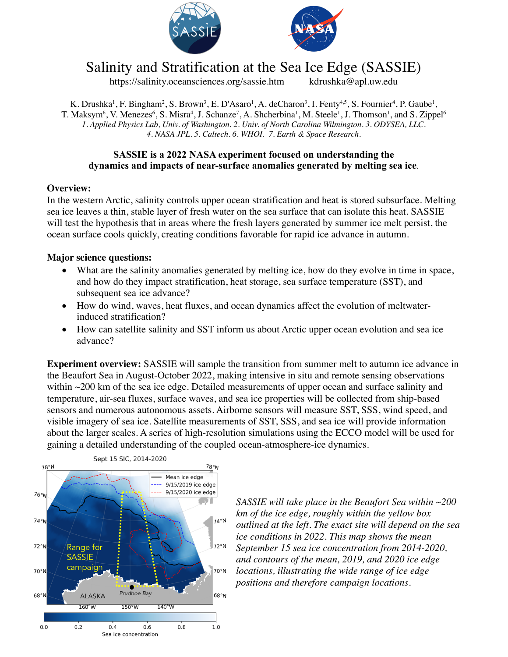



# Salinity and Stratification at the Sea Ice Edge (SASSIE)

https://salinity.oceansciences.org/sassie.htm kdrushka@apl.uw.edu

K. Drushka<sup>1</sup>, F. Bingham<sup>2</sup>, S. Brown<sup>3</sup>, E. D'Asaro<sup>1</sup>, A. deCharon<sup>3</sup>, I. Fenty<sup>4,5</sup>, S. Fournier<sup>4</sup>, P. Gaube<sup>1</sup>, T. Maksym<sup>6</sup>, V. Menezes<sup>6</sup>, S. Misra<sup>4</sup>, J. Schanze<sup>7</sup>, A. Shcherbina<sup>1</sup>, M. Steele<sup>1</sup>, J. Thomson<sup>1</sup>, and S. Zippel<sup>6</sup> *1. Applied Physics Lab, Univ. of Washington. 2. Univ. of North Carolina Wilmington. 3. ODYSEA, LLC. 4. NASA JPL. 5. Caltech. 6. WHOI. 7. Earth & Space Research.*

### **SASSIE is a 2022 NASA experiment focused on understanding the dynamics and impacts of near-surface anomalies generated by melting sea ice**.

### **Overview:**

In the western Arctic, salinity controls upper ocean stratification and heat is stored subsurface. Melting sea ice leaves a thin, stable layer of fresh water on the sea surface that can isolate this heat. SASSIE will test the hypothesis that in areas where the fresh layers generated by summer ice melt persist, the ocean surface cools quickly, creating conditions favorable for rapid ice advance in autumn.

### **Major science questions:**

- What are the salinity anomalies generated by melting ice, how do they evolve in time in space, and how do they impact stratification, heat storage, sea surface temperature (SST), and subsequent sea ice advance?
- How do wind, waves, heat fluxes, and ocean dynamics affect the evolution of meltwaterinduced stratification?
- How can satellite salinity and SST inform us about Arctic upper ocean evolution and sea ice advance?

**Experiment overview:** SASSIE will sample the transition from summer melt to autumn ice advance in the Beaufort Sea in August-October 2022, making intensive in situ and remote sensing observations within ~200 km of the sea ice edge. Detailed measurements of upper ocean and surface salinity and temperature, air-sea fluxes, surface waves, and sea ice properties will be collected from ship-based sensors and numerous autonomous assets. Airborne sensors will measure SST, SSS, wind speed, and visible imagery of sea ice. Satellite measurements of SST, SSS, and sea ice will provide information about the larger scales. A series of high-resolution simulations using the ECCO model will be used for gaining a detailed understanding of the coupled ocean-atmosphere-ice dynamics.



*SASSIE will take place in the Beaufort Sea within ~200 km of the ice edge, roughly within the yellow box outlined at the left. The exact site will depend on the sea ice conditions in 2022. This map shows the mean September 15 sea ice concentration from 2014-2020, and contours of the mean, 2019, and 2020 ice edge locations, illustrating the wide range of ice edge positions and therefore campaign locations.*